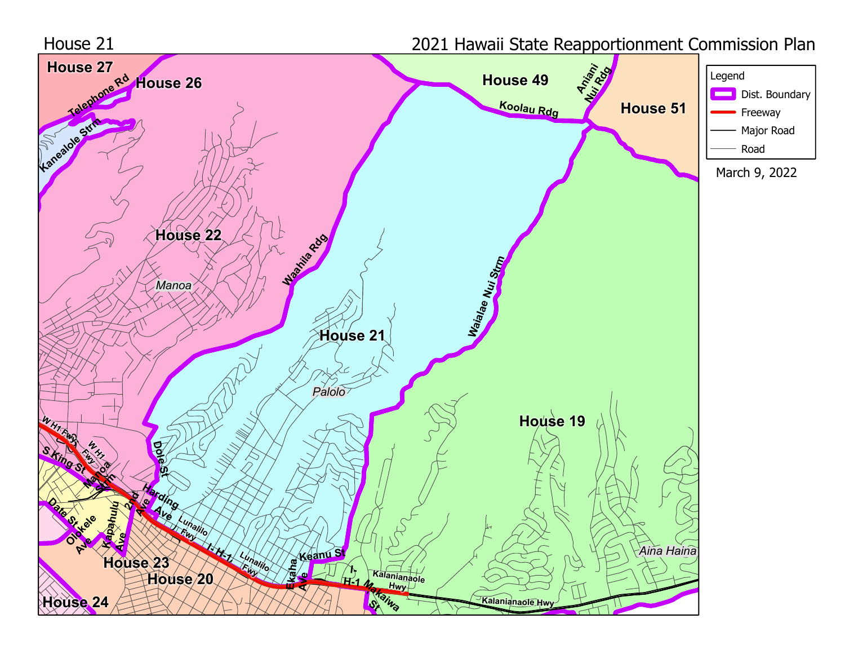